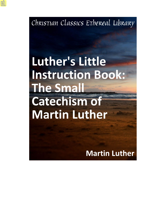Christian Classics Ethereal Library

# **Luther's Little Instruction Book: The Small Catechism of Martin Luther**

**Martin Luther**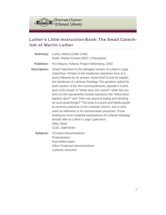

# **Luther's Little Instruction Book: The Small Catechism of Martin Luther**

| Author(s):          | Luther, Martin (1483-1546)<br>Smith, Robert Ernest (1957-) (Translator)                                                                                                                                                                                                                                                                                                                                                                                                                                                                                                                                                                                                                                                                                                                                                                     |
|---------------------|---------------------------------------------------------------------------------------------------------------------------------------------------------------------------------------------------------------------------------------------------------------------------------------------------------------------------------------------------------------------------------------------------------------------------------------------------------------------------------------------------------------------------------------------------------------------------------------------------------------------------------------------------------------------------------------------------------------------------------------------------------------------------------------------------------------------------------------------|
| <b>Publisher:</b>   | Fort Wayne, Indiana: Project Wittenberg, 2002                                                                                                                                                                                                                                                                                                                                                                                                                                                                                                                                                                                                                                                                                                                                                                                               |
| <b>Description:</b> | Small Catechism is the abridged version of Luther's Large<br>Catechism. Written in the traditional catechism form of a<br>query followed by an answer, these brief Q and As explain<br>the backbone of Lutheran theology. The question asked for<br>each section of the Ten Commandments, Apostle's Creed,<br>and Lord's prayer is "What does this mean?" while the sec-<br>tions on the sacraments include questions like "What does<br>baptism give?" and "How can physical eating and drinking<br>do such great things?" The book is a quick and helpful guide<br>to common practices in the Lutheran church, and is best<br>used as reference or for memorization purposes. Those<br>looking for more complete explanations of Lutheran theology<br>should refer to Luther's Large Catechism.<br>Abby Zwart<br><b>CCEL Staff Writer</b> |
| Subjects:           | <b>Christian Denominations</b><br>Protestantism<br>Post-Reformation                                                                                                                                                                                                                                                                                                                                                                                                                                                                                                                                                                                                                                                                                                                                                                         |

Other Protestant denominations Lutheran churches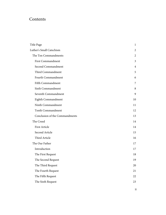# Contents

| Title Page                     | $\mathbf{1}$ |
|--------------------------------|--------------|
| Luther's Small Catechism       | 2            |
| The Ten Commandments           | 2            |
| <b>First Commandment</b>       | 3            |
| Second Commandment             | 4            |
| Third Commandment              | 5            |
| Fourth Commandment             | 6            |
| Fifth Commandment              | 7            |
| Sixth Commandment              | 8            |
| Seventh Commandment            | 9            |
| Eighth Commandment             | 10           |
| Ninth Commandment              | 11           |
| Tenth Commandment              | 12           |
| Conclusion of the Commandments | 13           |
| The Creed                      | 14           |
| First Article                  | 14           |
| Second Article                 | 15           |
| Third Article                  | 16           |
| The Our Father                 | 17           |
| Introduction                   | 17           |
| The First Request              | 18           |
| The Second Request             | 19           |
| The Third Request              | 20           |
| The Fourth Request             | 21           |
| The Fifth Request              |              |
| The Sixth Request              | 23           |
|                                |              |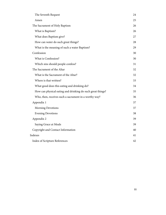| The Seventh Request                                        | 24 |
|------------------------------------------------------------|----|
| Amen                                                       | 25 |
| The Sacrament of Holy Baptism                              | 26 |
| What is Baptism?                                           | 26 |
| What does Baptism give?                                    | 27 |
| How can water do such great things?                        | 28 |
| What is the meaning of such a water Baptism?               | 29 |
| Confession                                                 | 30 |
| What is Confession?                                        | 30 |
| Which sins should people confess?                          | 31 |
| The Sacrament of the Altar                                 | 32 |
| What is the Sacrament of the Altar?                        | 32 |
| Where is that written?                                     | 33 |
| What good does this eating and drinking do?                | 34 |
| How can physical eating and drinking do such great things? | 35 |
| Who, then, receives such a sacrament in a worthy way?      | 36 |
| Appendix 1                                                 | 37 |
| <b>Morning Devotions</b>                                   | 37 |
| <b>Evening Devotions</b>                                   | 38 |
| Appendix 2                                                 | 39 |
| Saying Grace at Meals                                      | 39 |
| Copyright and Contact Information                          | 40 |
| Indexes                                                    |    |
| Index of Scripture References                              |    |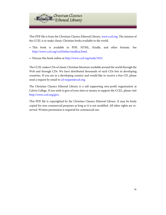

This PDF file is from the Christian Classics Ethereal Library, [www.ccel.org.](http://www.ccel.org) The mission of the CCEL is to make classic Christian books available to the world.

- This book is available in PDF, HTML, Kindle, and other formats. See <http://www.ccel.org/ccel/luther/smallcat.html>.
- Discuss this book online at [http://www.ccel.org/node/3453.](http://www.ccel.org/node/3453)

The CCEL makes CDs of classic Christian literature available around the world through the Web and through CDs. We have distributed thousands of such CDs free in developing countries. If you are in a developing country and would like to receive a free CD, please send a request by email to [cd-request@ccel.org.](mailto:cd-request@ccel.org)

The Christian Classics Ethereal Library is a self supporting non-profit organization at Calvin College. If you wish to give of your time or money to support the CCEL, please visit [http://www.ccel.org/give.](http://www.ccel.org/give)

This PDF file is copyrighted by the Christian Classics Ethereal Library. It may be freely copied for non-commercial purposes as long as it is not modified. All other rights are reserved. Written permission is required for commercial use.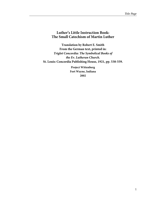## <span id="page-5-0"></span>**Luther's Little Instruction Book: The Small Catechism of Martin Luther**

**Translation by Robert E. Smith From the German text, printed in:** *Triglot Concordia: The Symbolical Books of the Ev. Lutheran Church***. St. Louis: Concordia Publishing House, 1921, pp. 538-559.**

> **Project Wittenberg Fort Wayne, Indiana 2002**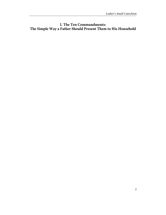## <span id="page-6-0"></span>**I. The Ten Commandments: The Simple Way a Father Should Present Them to His Household**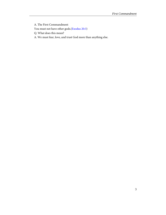<span id="page-7-1"></span><span id="page-7-0"></span>A. The First Commandment You must not have other gods.[\(Exodus 20:3\)](http://www.ccel.org/study/Bible:Exod.20.3)

Q. What does this mean?

A. We must fear, love, and trust God more than anything else.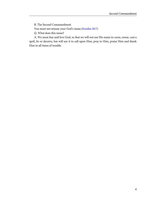<span id="page-8-1"></span><span id="page-8-0"></span>B. The Second Commandment

You must not misuse your God's name.[\(Exodus 20:7\)](http://www.ccel.org/study/Bible:Exod.20.7)

Q. What does this mean?

A. We must fear and love God, so that we will not use His name to curse, swear, cast a spell, lie or deceive, but will use it to call upon Him, pray to Him, praise Him and thank Him in all times of trouble.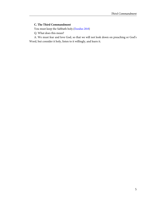#### <span id="page-9-1"></span><span id="page-9-0"></span>**C. The Third Commandment**

You must keep the Sabbath holy.[\(Exodus 20:8](http://www.ccel.org/study/Bible:Exod.20.8))

Q. What does this mean?

A. We must fear and love God, so that we will not look down on preaching or God's Word, but consider it holy, listen to it willingly, and learn it.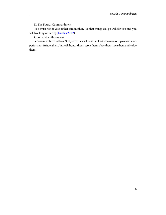D. The Fourth Commandment

<span id="page-10-1"></span><span id="page-10-0"></span>You must honor your father and mother. [So that things will go well for you and you will live long on earth].([Exodus 20:12](http://www.ccel.org/study/Bible:Exod.20.12))

Q. What does this mean?

A. We must fear and love God, so that we will neither look down on our parents or superiors nor irritate them, but will honor them, serve them, obey them, love them and value them.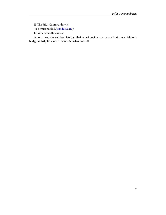<span id="page-11-1"></span><span id="page-11-0"></span>E. The Fifth Commandment

You must not kill.[\(Exodus 20:13](http://www.ccel.org/study/Bible:Exod.20.13))

Q. What does this mean?

A. We must fear and love God, so that we will neither harm nor hurt our neighbor's body, but help him and care for him when he is ill.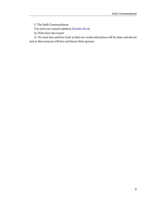<span id="page-12-1"></span><span id="page-12-0"></span>F. The Sixth Commandment

You must not commit adultery.([Exodus 20:14\)](http://www.ccel.org/study/Bible:Exod.20.14)

Q. What does this mean?

A. We must fear and love God, so that our words and actions will be clean and decent and so that everyone will love and honor their spouses.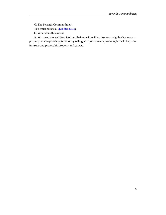<span id="page-13-1"></span><span id="page-13-0"></span>G. The Seventh Commandment

You must not steal. ([Exodus 20:15](http://www.ccel.org/study/Bible:Exod.20.15))

Q. What does this mean?

A. We must fear and love God, so that we will neither take our neighbor's money or property, nor acquire it by fraud or by selling him poorly made products, but will help him improve and protect his property and career.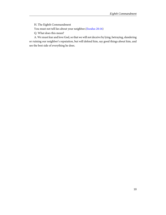<span id="page-14-1"></span><span id="page-14-0"></span>H. The Eighth Commandment

You must not tell lies about your neighbor.[\(Exodus 20:16](http://www.ccel.org/study/Bible:Exod.20.16))

Q. What does this mean?

A. We must fear and love God, so that we will not deceive by lying, betraying, slandering or ruining our neighbor's reputation, but will defend him, say good things about him, and see the best side of everything he does.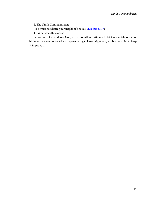<span id="page-15-1"></span><span id="page-15-0"></span>I. The Ninth Commandment

You must not desire your neighbor's house. ([Exodus 20:17\)](http://www.ccel.org/study/Bible:Exod.20.17)

Q. What does this mean?

A. We must fear and love God, so that we will not attempt to trick our neighbor out of his inheritance or house, take it by pretending to have a right to it, etc. but help him to keep & improve it.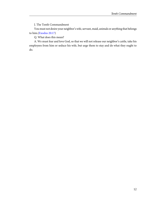J. The Tenth Commandment

<span id="page-16-1"></span><span id="page-16-0"></span>You must not desire your neighbor's wife, servant, maid, animals or anything that belongs to him.([Exodus 20:17](http://www.ccel.org/study/Bible:Exod.20.17))

Q. What does this mean?

A. We must fear and love God, so that we will not release our neighbor's cattle, take his employees from him or seduce his wife, but urge them to stay and do what they ought to do.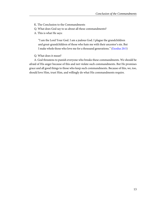<span id="page-17-0"></span>K. The Conclusion to the Commandments

Q. What does God say to us about all these commandments?

A. This is what He says:

<span id="page-17-1"></span>"I am the Lord Your God. I am a jealous God. I plague the grandchildren and great-grandchildren of those who hate me with their ancestor's sin. But I make whole those who love me for a thousand generations." [\(Exodus 20:5](http://www.ccel.org/study/Bible:Exod.20.5))

Q. What does it mean?

A. God threatens to punish everyone who breaks these commandments. We should be afraid of His anger because of this and not violate such commandments. But He promises grace and all good things to those who keep such commandments. Because of this, we, too, should love Him, trust Him, and willingly do what His commandments require.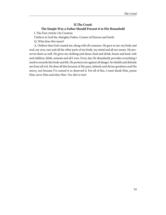#### **II.The Creed: The Simple Way a Father Should Present it to His Household**

<span id="page-18-0"></span>I. The First Article: On Creation

I believe in God the Almighty Father, Creator of Heaven and Earth.

Q. What does this mean?

A. I believe that God created me, along with all creatures. He gave to me: my body and soul, my eyes, ears and all the other parts of my body, my mind and all my senses. He preserves them as well. He gives me clothing and shoes, food and drink, house and land, wife and children, fields, animals and all I own. Every day He abundantly provides everything I need to nourish this body and life. He protects me against all danger. he shields and defends me from all evil. He does all this because of His pure, fatherly and divine goodness and His mercy, not because I've earned it or deserved it. For all of this, I must thank Him, praise Him, serve Him and obey Him. Yes, this is true!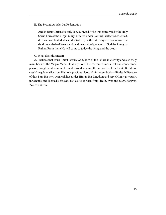<span id="page-19-0"></span>II. The Second Article: On Redemption

And in Jesus Christ, His only Son, our Lord, Who was conceived by the Holy Spirit, born of the Virgin Mary, suffered under Pontius Pilate, was crucified, died and was buried, descended to Hell, on the third day rose again from the dead, ascended to Heaven and sat down at the right hand of God the Almighty Father. From there He will come to judge the living and the dead.

#### Q. What does this mean?

A. I believe that Jesus Christ is truly God, born of the Father in eternity and also truly man, born of the Virgin Mary. He is my Lord! He redeemed me, a lost and condemned person, bought and won me from all sins, death and the authority of the Devil. It did not cost Him gold or silver, but His holy, precious blood, His innocent body—His death! Because of this, I am His very own, will live under Him in His kingdom and serve Him righteously, innocently and blessedly forever, just as He is risen from death, lives and reigns forever. Yes, this is true.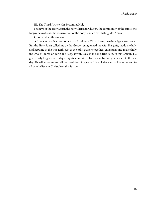III. The Third Article: On Becoming Holy

<span id="page-20-0"></span>I believe in the Holy Spirit, the holy Christian Church, the community of the saints, the forgiveness of sins, the resurrection of the body, and an everlasting life. Amen.

Q. What does this mean?

A. I believe that I cannot come to my Lord Jesus Christ by my own intelligence or power. But the Holy Spirit called me by the Gospel, enlightened me with His gifts, made me holy and kept me in the true faith, just as He calls, gathers together, enlightens and makes holy the whole Church on earth and keeps it with Jesus in the one, true faith. In this Church, He generously forgives each day every sin committed by me and by every believer. On the last day, He will raise me and all the dead from the grave. He will give eternal life to me and to all who believe in Christ. Yes, this is true!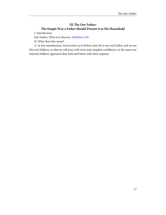#### **III.The Our Father: The Simple Way a Father Should Present it to His Household**

<span id="page-21-1"></span><span id="page-21-0"></span>I. Introduction

Our Father, Who is in Heaven. [\(Matthew 6:9](http://www.ccel.org/study/Bible:Matt.6.9))

Q. What does this mean?

A. In this introduction, God invites us to believe that He is our real Father and we are His real children, so that we will pray with trust and complete confidence, in the same way beloved children approach their beloved Father with their requests.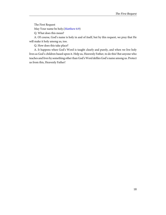<span id="page-22-1"></span><span id="page-22-0"></span>The First Request

May Your name be holy.([Matthew 6:9\)](http://www.ccel.org/study/Bible:Matt.6.9)

Q. What does this mean?

A. Of course, God's name is holy in and of itself, but by this request, we pray that He will make it holy among us, too.

Q. How does this take place?

A. It happens when God's Word is taught clearly and purely, and when we live holy lives as God's children based upon it. Help us, Heavenly Father, to do this! But anyone who teaches and lives by something other than God's Word defiles God's name among us. Protect us from this, Heavenly Father!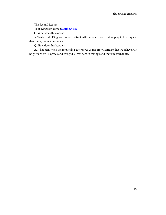<span id="page-23-1"></span><span id="page-23-0"></span>The Second Request

Your Kingdom come.([Matthew 6:10\)](http://www.ccel.org/study/Bible:Matt.6.10)

Q. What does this mean?

A. Truly God's Kingdom comes by itself, without our prayer. But we pray in this request that it may come to us as well.

Q. How does this happen?

A. It happens when the Heavenly Father gives us His Holy Spirit, so that we believe His holy Word by His grace and live godly lives here in this age and there in eternal life.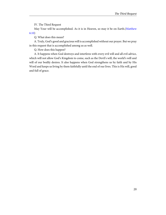IV. The Third Request

<span id="page-24-1"></span><span id="page-24-0"></span>May Your will be accomplished. As it is in Heaven, so may it be on Earth.([Matthew](http://www.ccel.org/study/Bible:Matt.6.10) [6:10](http://www.ccel.org/study/Bible:Matt.6.10))

Q. What does this mean?

A. Truly, God's good and gracious will is accomplished without our prayer. But we pray in this request that is accomplished among us as well.

Q. How does this happen?

A. It happens when God destroys and interferes with every evil will and all evil advice, which will not allow God's Kingdom to come, such as the Devil's will, the world's will and will of our bodily desires. It also happens when God strengthens us by faith and by His Word and keeps us living by them faithfully until the end of our lives. This is His will, good and full of grace.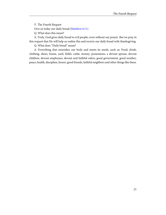<span id="page-25-1"></span><span id="page-25-0"></span>V. The Fourth Request

Give us today our daily bread.([Matthew 6:11](http://www.ccel.org/study/Bible:Matt.6.11))

Q. What does this mean?

A. Truly, God gives daily bread to evil people, even without our prayer. But we pray in this request that He will help us realize this and receive our daily bread with thanksgiving.

Q. What does "Daily bread" mean?

A. Everything that nourishes our body and meets its needs, such as: Food, drink, clothing, shoes, house, yard, fields, cattle, money, possessions, a devout spouse, devout children, devout employees, devout and faithful rulers, good government, good weather, peace, health, discipline, honor, good friends, faithful neighbors and other things like these.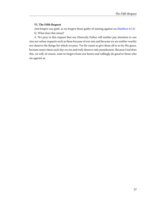#### <span id="page-26-1"></span><span id="page-26-0"></span>**VI. The Fifth Request**

And forgive our guilt, as we forgive those guilty of sinning against us.[\(Matthew 6:13](http://www.ccel.org/study/Bible:Matt.6.13)) Q. What does this mean?

A. We pray in this request that our Heavenly Father will neither pay attention to our sins nor refuse requests such as these because of our sins and because we are neither worthy nor deserve the things for which we pray. Yet He wants to give them all to us by His grace, because many times each day we sin and truly deserve only punishment. Because God does this, we will, of course, want to forgive from our hearts and willingly do good to those who sin against us.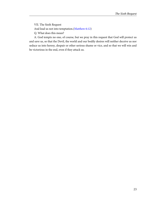<span id="page-27-1"></span><span id="page-27-0"></span>VII. The Sixth Request And lead us not into temptation.[\(Matthew 6:12](http://www.ccel.org/study/Bible:Matt.6.12)) Q. What does this mean?

A. God tempts no one, of course, but we pray in this request that God will protect us and save us, so that the Devil, the world and our bodily desires will neither deceive us nor seduce us into heresy, despair or other serious shame or vice, and so that we will win and be victorious in the end, even if they attack us.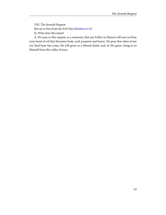<span id="page-28-1"></span><span id="page-28-0"></span>VIII. The Seventh Request But set us free from the Evil One.([Matthew 6:12](http://www.ccel.org/study/Bible:Matt.6.12)) Q. What does this mean?

A. We pray in this request, as a summary, that our Father in Heaven will save us from every kind of evil that threatens body, soul, property and honor. We pray that when at last our final hour has come, He will grant us a blessed death, and, in His grace, bring us to Himself from this valley of tears.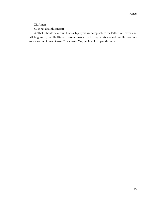<span id="page-29-0"></span>XI. Amen.

Q. What does this mean?

A. That I should be certain that such prayers are acceptable to the Father in Heaven and will be granted, that He Himself has commanded us to pray in this way and that He promises to answer us. Amen. Amen. This means: Yes, yes it will happen this way.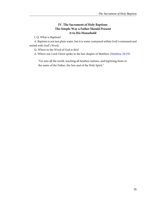#### **IV. The Sacrament of Holy Baptism: The Simple Way a Father Should Present it to His Household**

<span id="page-30-0"></span>I. Q. What is Baptism?

<span id="page-30-1"></span>A. Baptism is not just plain water, but it is water contained within God's command and united with God's Word.

Q. Where in the Word of God is this?

A. Where our Lord Christ spoke in the last chapter of Matthew [\(Matthew 28:19\)](http://www.ccel.org/study/Bible:Matt.28.19):

"Go into all the world, teaching all heathen nations, and baptizing them in the name of the Father, the Son and of the Holy Spirit."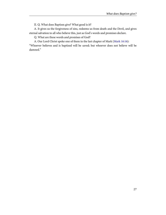II. Q. What does Baptism give? What good is it?

<span id="page-31-0"></span>A. It gives us the forgiveness of sins, redeems us from death and the Devil, and gives eternal salvation to all who believe this, just as God's words and promises declare.

<span id="page-31-1"></span>Q. What are these words and promises of God?

A. Our Lord Christ spoke one of them in the last chapter of Mark ([Mark 16:16](http://www.ccel.org/study/Bible:Mark.16.16)):

"Whoever believes and is baptized will be saved; but whoever does not believe will be damned."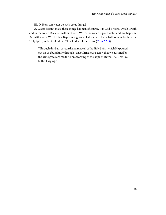III. Q. How can water do such great things?

<span id="page-32-1"></span><span id="page-32-0"></span>A. Water doesn't make these things happen, of course. It is God's Word, which is with and in the water. Because, without God's Word, the water is plain water and not baptism. But with God's Word it is a Baptism, a grace-filled water of life, a bath of new birth in the Holy Spirit, as St. Paul said to Titus in the third chapter ([Titus 3:5-8\)](http://www.ccel.org/study/Bible:Titus.3.5-Titus.3.8):

"Through this bath of rebirth and renewal of the Holy Spirit, which He poured out on us abundantly through Jesus Christ, our Savior, that we, justified by the same grace are made heirs according to the hope of eternal life. This is a faithful saying."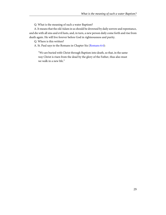Q. What is the meaning of such a water Baptism?

<span id="page-33-0"></span>A. It means that the old Adam in us should be drowned by daily sorrow and repentance, and die with all sins and evil lusts, and, in turn, a new person daily come forth and rise from death again. He will live forever before God in righteousness and purity.

<span id="page-33-1"></span>Q. Where is this written?

A. St. Paul says to the Romans in Chapter Six ([Romans 6:4\)](http://www.ccel.org/study/Bible:Rom.6.4):

"We are buried with Christ through Baptism into death, so that, in the same way Christ is risen from the dead by the glory of the Father, thus also must we walk in a new life."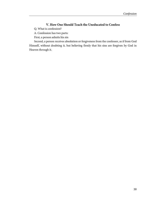## **V. How One Should Teach the Uneducated to Confess**

<span id="page-34-0"></span>Q. What is confession?

A. Confession has two parts:

First, a person admits his sin

Second, a person receives absolution or forgiveness from the confessor, as if from God Himself, without doubting it, but believing firmly that his sins are forgiven by God in Heaven through it.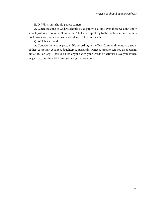II. Q. Which sins should people confess?

<span id="page-35-0"></span>A. When speaking to God, we should plead guilty to all sins, even those we don't know about, just as we do in the "Our Father," but when speaking to the confessor, only the sins we know about, which we know about and feel in our hearts.

Q. Which are these?

A. Consider here your place in life according to the Ten Commandments. Are you a father? A mother? A son? A daughter? A husband? A wife? A servant? Are you disobedient, unfaithful or lazy? Have you hurt anyone with your words or actions? Have you stolen, neglected your duty, let things go or injured someone?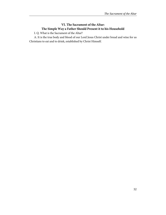#### **VI. The Sacrament of the Altar: The Simple Way a Father Should Present it to his Household**

<span id="page-36-0"></span>I. Q. What is the Sacrament of the Altar?

A. It is the true body and blood of our Lord Jesus Christ under bread and wine for us Christians to eat and to drink, established by Christ Himself.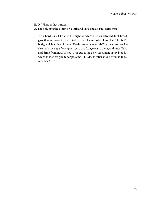<span id="page-37-0"></span>II. Q. Where is that written?

A. The holy apostles Matthew, Mark and Luke and St. Paul write this:

"Our Lord Jesus Christ, in the night on which He was betrayed, took bread, gave thanks, broke it, gave it to His disciples and said: 'Take! Eat! This is My body, which is given for you. Do this to remember Me!' In the same way He also took the cup after supper, gave thanks, gave it to them, and said: 'Take and drink from it, all of you! This cup is the New Testament in my blood, which is shed for you to forgive sins. This do, as often as you drink it, to remember Me!'"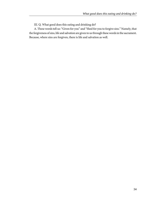III. Q. What good does this eating and drinking do?

<span id="page-38-0"></span>A. These words tell us: "Given for you" and "Shed for you to forgive sins." Namely, that the forgiveness of sins, life and salvation are given to us through these words in the sacrament. Because, where sins are forgiven, there is life and salvation as well.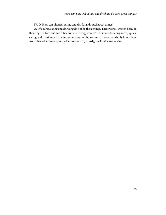IV. Q. How can physical eating and drinking do such great things?

<span id="page-39-0"></span>A. Of course, eating and drinking do not do these things. These words, written here, do them: "given for you" and "shed for you to forgive sins." These words, along with physical eating and drinking are the important part of the sacrament. Anyone who believes these words has what they say and what they record, namely, the forgiveness of sins.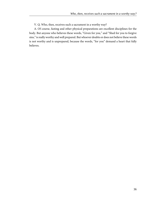V. Q. Who, then, receives such a sacrament in a worthy way?

<span id="page-40-0"></span>A. Of course, fasting and other physical preparations are excellent disciplines for the body. But anyone who believes these words, "Given for you," and "Shed for you to forgive sins," is really worthy and well prepared. But whoever doubts or does not believe these words is not worthy and is unprepared, because the words, "for you" demand a heart that fully believes.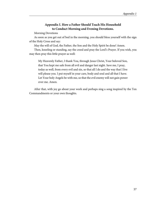#### **Appendix I. How a Father Should Teach His Household to Conduct Morning and Evening Devotions.**

<span id="page-41-0"></span>Morning Devotions

As soon as you get out of bed in the morning, you should bless yourself with the sign of the Holy Cross and say:

May the will of God, the Father, the Son and the Holy Spirit be done! Amen.

Then, kneeling or standing, say the creed and pray the Lord's Prayer. If you wish, you may then pray this little prayer as well:

My Heavenly Father, I thank You, through Jesus Christ, Your beloved Son, that You kept me safe from all evil and danger last night. Save me, I pray, today as well, from every evil and sin, so that all I do and the way that I live will please you. I put myself in your care, body and soul and all that I have. Let Your holy Angels be with me, so that the evil enemy will not gain power over me. Amen.

After that, with joy go about your work and perhaps sing a song inspired by the Ten Commandments or your own thoughts.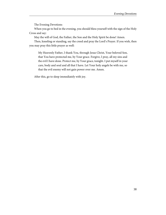The Evening Devotions

<span id="page-42-0"></span>When you go to bed in the evening, you should bless yourself with the sign of the Holy Cross and say:

May the will of God, the Father, the Son and the Holy Spirit be done! Amen.

Then, kneeling or standing, say the creed and pray the Lord's Prayer. If you wish, then you may pray this little prayer as well:

My Heavenly Father, I thank You, through Jesus Christ, Your beloved Son, that You have protected me, by Your grace. Forgive, I pray, all my sins and the evil I have done. Protect me, by Your grace, tonight. I put myself in your care, body and soul and all that I have. Let Your holy angels be with me, so that the evil enemy will not gain power over me. Amen.

After this, go to sleep immediately with joy.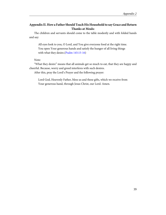## <span id="page-43-0"></span>**Appendix II. How a Father Should Teach His Household to say Grace and Return Thanks at Meals:**

The children and servants should come to the table modestly and with folded hands and say:

<span id="page-43-1"></span>All eyes look to you, O Lord, and You give everyone food at the right time. You open Your generous hands and satisfy the hunger of all living things with what they desire.[\(Psalm 145:15-16](http://www.ccel.org/study/Bible:Ps.145.15-Ps.145.16))

Note:

"What they desire" means that all animals get so much to eat, that they are happy and cheerful. Because, worry and greed interferes with such desires.

After this, pray the Lord's Prayer and the following prayer:

Lord God, Heavenly Father, bless us and these gifts, which we receive from Your generous hand, through Jesus Christ, our Lord. Amen.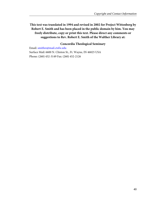<span id="page-44-0"></span>**This text was translated in 1994 and revised in 2002 for Project Wittenberg by Robert E. Smith and has been placed in the public domain by him. You may freely distribute, copy or print this text. Please direct any comments or suggestions to Rev. Robert E. Smith of the Walther Library at:**

#### **Concordia Theological Seminary**

Email: [smithre@mail.ctsfw.edu](mailto:smithre@mail.ctsfw.edu) Surface Mail: 6600 N. Clinton St., Ft. Wayne, IN 46825 USA Phone: (260) 452-3149 Fax: (260) 452-2126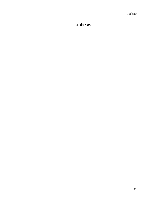# <span id="page-45-0"></span>**Indexes**